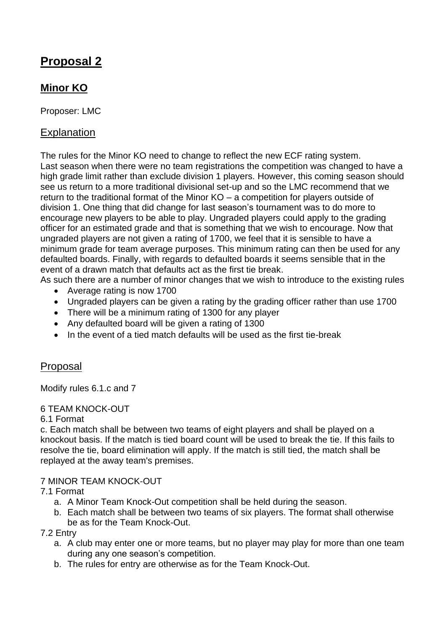# **Proposal 2**

# **Minor KO**

Proposer: LMC

## **Explanation**

The rules for the Minor KO need to change to reflect the new ECF rating system. Last season when there were no team registrations the competition was changed to have a high grade limit rather than exclude division 1 players. However, this coming season should see us return to a more traditional divisional set-up and so the LMC recommend that we return to the traditional format of the Minor KO – a competition for players outside of division 1. One thing that did change for last season's tournament was to do more to encourage new players to be able to play. Ungraded players could apply to the grading officer for an estimated grade and that is something that we wish to encourage. Now that ungraded players are not given a rating of 1700, we feel that it is sensible to have a minimum grade for team average purposes. This minimum rating can then be used for any defaulted boards. Finally, with regards to defaulted boards it seems sensible that in the event of a drawn match that defaults act as the first tie break.

As such there are a number of minor changes that we wish to introduce to the existing rules

- Average rating is now 1700
- Ungraded players can be given a rating by the grading officer rather than use 1700
- There will be a minimum rating of 1300 for any player
- Any defaulted board will be given a rating of 1300
- In the event of a tied match defaults will be used as the first tie-break

### Proposal

Modify rules 6.1.c and 7

#### 6 TEAM KNOCK-OUT

6.1 Format

c. Each match shall be between two teams of eight players and shall be played on a knockout basis. If the match is tied board count will be used to break the tie. If this fails to resolve the tie, board elimination will apply. If the match is still tied, the match shall be replayed at the away team's premises.

#### 7 MINOR TEAM KNOCK-OUT

- 7.1 Format
	- a. A Minor Team Knock-Out competition shall be held during the season.
	- b. Each match shall be between two teams of six players. The format shall otherwise be as for the Team Knock-Out.

7.2 Entry

- a. A club may enter one or more teams, but no player may play for more than one team during any one season's competition.
- b. The rules for entry are otherwise as for the Team Knock-Out.